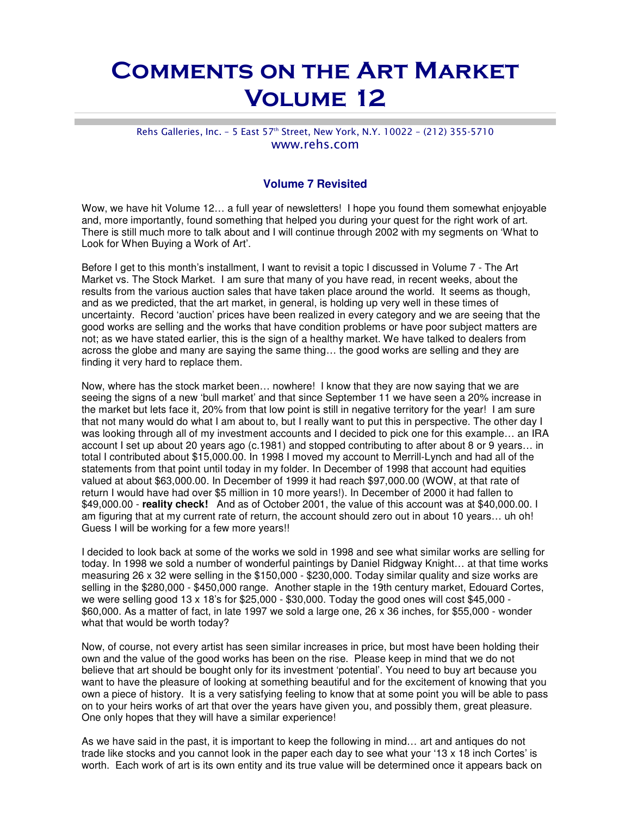## Comments on the Art Market Volume 12

## Rehs Galleries, Inc. - 5 East 57<sup>th</sup> Street, New York, N.Y. 10022 - (212) 355-5710 www.rehs.com

## **Volume 7 Revisited**

Wow, we have hit Volume 12… a full year of newsletters! I hope you found them somewhat enjoyable and, more importantly, found something that helped you during your quest for the right work of art. There is still much more to talk about and I will continue through 2002 with my segments on 'What to Look for When Buying a Work of Art'.

Before I get to this month's installment, I want to revisit a topic I discussed in Volume 7 - The Art Market vs. The Stock Market. I am sure that many of you have read, in recent weeks, about the results from the various auction sales that have taken place around the world. It seems as though, and as we predicted, that the art market, in general, is holding up very well in these times of uncertainty. Record 'auction' prices have been realized in every category and we are seeing that the good works are selling and the works that have condition problems or have poor subject matters are not; as we have stated earlier, this is the sign of a healthy market. We have talked to dealers from across the globe and many are saying the same thing… the good works are selling and they are finding it very hard to replace them.

Now, where has the stock market been… nowhere! I know that they are now saying that we are seeing the signs of a new 'bull market' and that since September 11 we have seen a 20% increase in the market but lets face it, 20% from that low point is still in negative territory for the year! I am sure that not many would do what I am about to, but I really want to put this in perspective. The other day I was looking through all of my investment accounts and I decided to pick one for this example… an IRA account I set up about 20 years ago (c.1981) and stopped contributing to after about 8 or 9 years… in total I contributed about \$15,000.00. In 1998 I moved my account to Merrill-Lynch and had all of the statements from that point until today in my folder. In December of 1998 that account had equities valued at about \$63,000.00. In December of 1999 it had reach \$97,000.00 (WOW, at that rate of return I would have had over \$5 million in 10 more years!). In December of 2000 it had fallen to \$49,000.00 - **reality check!** And as of October 2001, the value of this account was at \$40,000.00. I am figuring that at my current rate of return, the account should zero out in about 10 years… uh oh! Guess I will be working for a few more years!!

I decided to look back at some of the works we sold in 1998 and see what similar works are selling for today. In 1998 we sold a number of wonderful paintings by Daniel Ridgway Knight… at that time works measuring 26 x 32 were selling in the \$150,000 - \$230,000. Today similar quality and size works are selling in the \$280,000 - \$450,000 range. Another staple in the 19th century market, Edouard Cortes, we were selling good 13 x 18's for \$25,000 - \$30,000. Today the good ones will cost \$45,000 - \$60,000. As a matter of fact, in late 1997 we sold a large one, 26 x 36 inches, for \$55,000 - wonder what that would be worth today?

Now, of course, not every artist has seen similar increases in price, but most have been holding their own and the value of the good works has been on the rise. Please keep in mind that we do not believe that art should be bought only for its investment 'potential'. You need to buy art because you want to have the pleasure of looking at something beautiful and for the excitement of knowing that you own a piece of history. It is a very satisfying feeling to know that at some point you will be able to pass on to your heirs works of art that over the years have given you, and possibly them, great pleasure. One only hopes that they will have a similar experience!

As we have said in the past, it is important to keep the following in mind… art and antiques do not trade like stocks and you cannot look in the paper each day to see what your '13 x 18 inch Cortes' is worth. Each work of art is its own entity and its true value will be determined once it appears back on